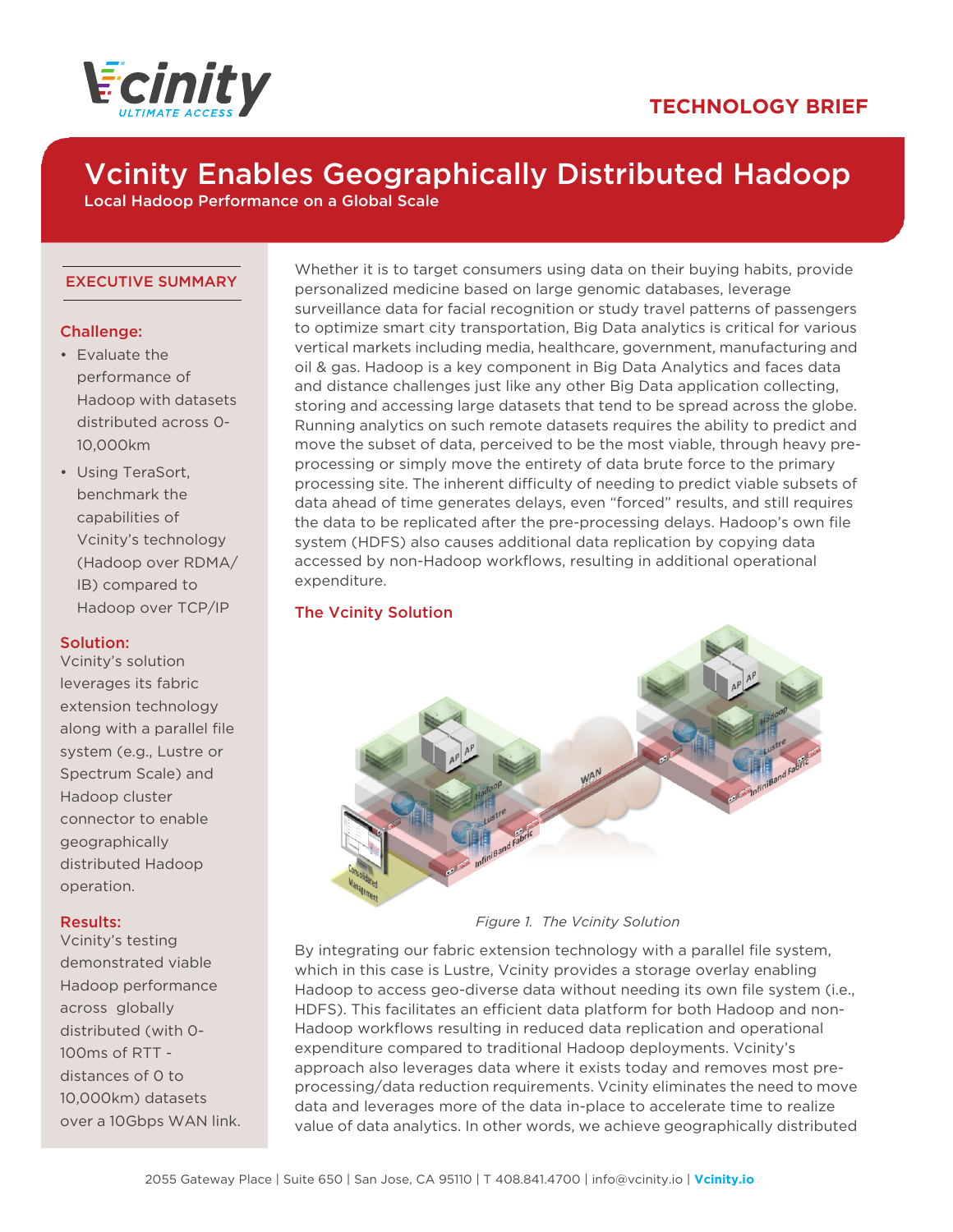



# Vcinity Enables Geographically Distributed Hadoop

Local Hadoop Performance on a Global Scale

#### EXECUTIVE SUMMARY

# Challenge:

- Evaluate the performance of Hadoop with datasets distributed across 0- 10,000km
- Using TeraSort, benchmark the capabilities of Vcinity's technology (Hadoop over RDMA/ IB) compared to Hadoop over TCP/IP

#### Solution:

Vcinity's solution leverages its fabric extension technology along with a parallel file system (e.g., Lustre or Spectrum Scale) and Hadoop cluster connector to enable geographically distributed Hadoop operation.

# Results:

Vcinity's testing demonstrated viable Hadoop performance across globally distributed (with 0- 100ms of RTT distances of 0 to 10,000km) datasets over a 10Gbps WAN link. Whether it is to target consumers using data on their buying habits, provide personalized medicine based on large genomic databases, leverage surveillance data for facial recognition or study travel patterns of passengers to optimize smart city transportation, Big Data analytics is critical for various vertical markets including media, healthcare, government, manufacturing and oil & gas. Hadoop is a key component in Big Data Analytics and faces data and distance challenges just like any other Big Data application collecting, storing and accessing large datasets that tend to be spread across the globe. Running analytics on such remote datasets requires the ability to predict and move the subset of data, perceived to be the most viable, through heavy preprocessing or simply move the entirety of data brute force to the primary processing site. The inherent difficulty of needing to predict viable subsets of data ahead of time generates delays, even "forced" results, and still requires the data to be replicated after the pre-processing delays. Hadoop's own file system (HDFS) also causes additional data replication by copying data accessed by non-Hadoop workflows, resulting in additional operational expenditure.

### The Vcinity Solution



*Figure 1. The Vcinity Solution*

By integrating our fabric extension technology with a parallel file system, which in this case is Lustre, Vcinity provides a storage overlay enabling Hadoop to access geo-diverse data without needing its own file system (i.e., HDFS). This facilitates an efficient data platform for both Hadoop and non-Hadoop workflows resulting in reduced data replication and operational expenditure compared to traditional Hadoop deployments. Vcinity's approach also leverages data where it exists today and removes most preprocessing/data reduction requirements. Vcinity eliminates the need to move data and leverages more of the data in-place to accelerate time to realize value of data analytics. In other words, we achieve geographically distributed